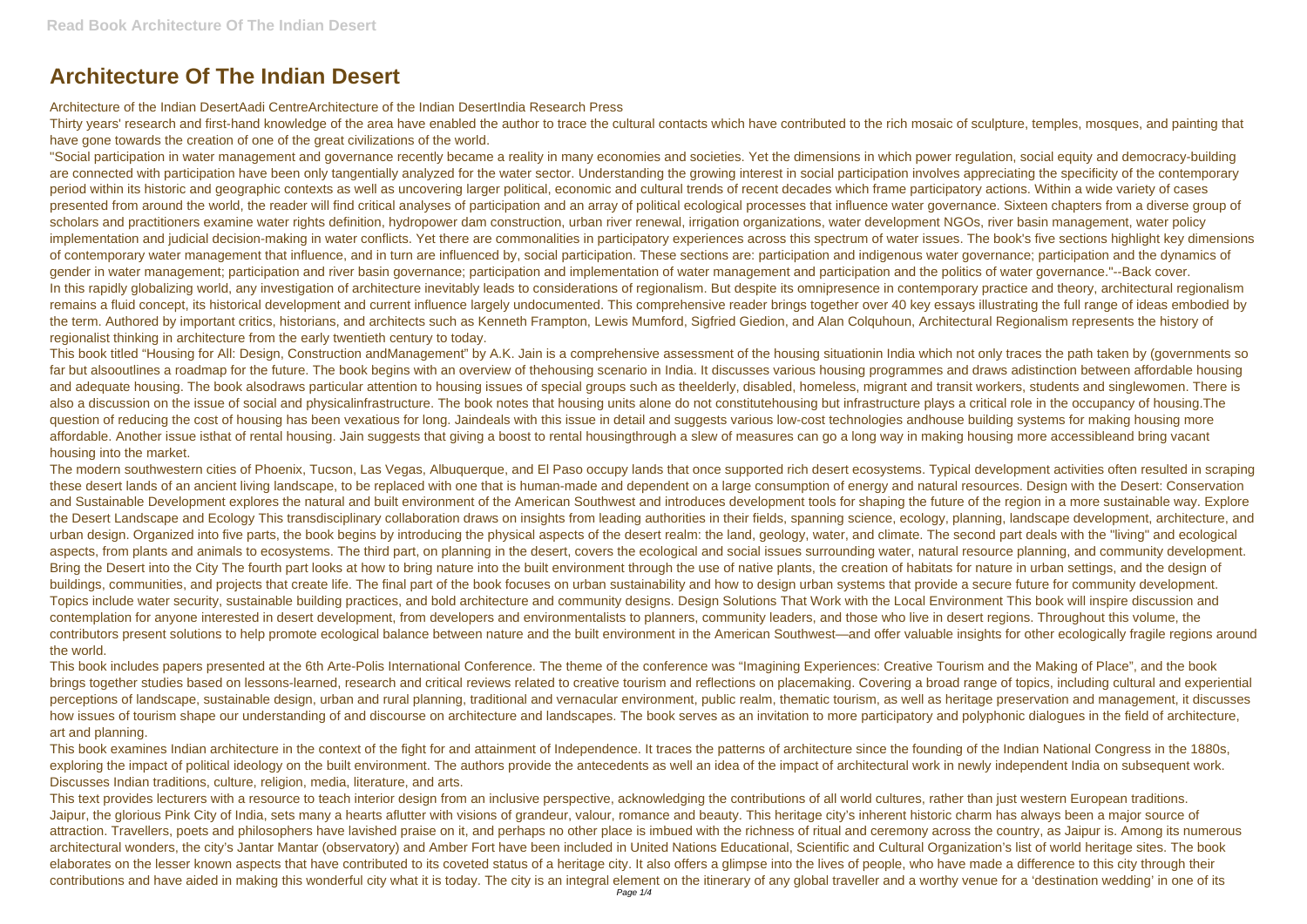## **Architecture Of The Indian Desert**

Architecture of the Indian DesertAadi CentreArchitecture of the Indian DesertIndia Research Press

Thirty years' research and first-hand knowledge of the area have enabled the author to trace the cultural contacts which have contributed to the rich mosaic of sculpture, temples, mosques, and painting that have gone towards the creation of one of the great civilizations of the world.

"Social participation in water management and governance recently became a reality in many economies and societies. Yet the dimensions in which power regulation, social equity and democracy-building are connected with participation have been only tangentially analyzed for the water sector. Understanding the growing interest in social participation involves appreciating the specificity of the contemporary period within its historic and geographic contexts as well as uncovering larger political, economic and cultural trends of recent decades which frame participatory actions. Within a wide variety of cases presented from around the world, the reader will find critical analyses of participation and an array of political ecological processes that influence water governance. Sixteen chapters from a diverse group of scholars and practitioners examine water rights definition, hydropower dam construction, urban river renewal, irrigation organizations, water development NGOs, river basin management, water policy implementation and judicial decision-making in water conflicts. Yet there are commonalities in participatory experiences across this spectrum of water issues. The book's five sections highlight key dimensions of contemporary water management that influence, and in turn are influenced by, social participation. These sections are: participation and indigenous water governance; participation and the dynamics of gender in water management; participation and river basin governance; participation and implementation of water management and participation and the politics of water governance."--Back cover. In this rapidly globalizing world, any investigation of architecture inevitably leads to considerations of regionalism. But despite its omnipresence in contemporary practice and theory, architectural regionalism remains a fluid concept, its historical development and current influence largely undocumented. This comprehensive reader brings together over 40 key essays illustrating the full range of ideas embodied by the term. Authored by important critics, historians, and architects such as Kenneth Frampton, Lewis Mumford, Sigfried Giedion, and Alan Colquhoun, Architectural Regionalism represents the history of regionalist thinking in architecture from the early twentieth century to today.

This book titled "Housing for All: Design, Construction andManagement" by A.K. Jain is a comprehensive assessment of the housing situationin India which not only traces the path taken by (governments so far but alsooutlines a roadmap for the future. The book begins with an overview of thehousing scenario in India. It discusses various housing programmes and draws adistinction between affordable housing and adequate housing. The book alsodraws particular attention to housing issues of special groups such as theelderly, disabled, homeless, migrant and transit workers, students and singlewomen. There is also a discussion on the issue of social and physicalinfrastructure. The book notes that housing units alone do not constitutehousing but infrastructure plays a critical role in the occupancy of housing.The question of reducing the cost of housing has been vexatious for long. Jaindeals with this issue in detail and suggests various low-cost technologies andhouse building systems for making housing more affordable. Another issue isthat of rental housing. Jain suggests that giving a boost to rental housingthrough a slew of measures can go a long way in making housing more accessibleand bring vacant housing into the market.

This text provides lecturers with a resource to teach interior design from an inclusive perspective, acknowledging the contributions of all world cultures, rather than just western European traditions. Jaipur, the glorious Pink City of India, sets many a hearts aflutter with visions of grandeur, valour, romance and beauty. This heritage city's inherent historic charm has always been a major source of attraction. Travellers, poets and philosophers have lavished praise on it, and perhaps no other place is imbued with the richness of ritual and ceremony across the country, as Jaipur is. Among its numerous architectural wonders, the city's Jantar Mantar (observatory) and Amber Fort have been included in United Nations Educational, Scientific and Cultural Organization's list of world heritage sites. The book elaborates on the lesser known aspects that have contributed to its coveted status of a heritage city. It also offers a glimpse into the lives of people, who have made a difference to this city through their contributions and have aided in making this wonderful city what it is today. The city is an integral element on the itinerary of any global traveller and a worthy venue for a 'destination wedding' in one of its

The modern southwestern cities of Phoenix, Tucson, Las Vegas, Albuquerque, and El Paso occupy lands that once supported rich desert ecosystems. Typical development activities often resulted in scraping these desert lands of an ancient living landscape, to be replaced with one that is human-made and dependent on a large consumption of energy and natural resources. Design with the Desert: Conservation and Sustainable Development explores the natural and built environment of the American Southwest and introduces development tools for shaping the future of the region in a more sustainable way. Explore the Desert Landscape and Ecology This transdisciplinary collaboration draws on insights from leading authorities in their fields, spanning science, ecology, planning, landscape development, architecture, and urban design. Organized into five parts, the book begins by introducing the physical aspects of the desert realm: the land, geology, water, and climate. The second part deals with the "living" and ecological aspects, from plants and animals to ecosystems. The third part, on planning in the desert, covers the ecological and social issues surrounding water, natural resource planning, and community development. Bring the Desert into the City The fourth part looks at how to bring nature into the built environment through the use of native plants, the creation of habitats for nature in urban settings, and the design of buildings, communities, and projects that create life. The final part of the book focuses on urban sustainability and how to design urban systems that provide a secure future for community development. Topics include water security, sustainable building practices, and bold architecture and community designs. Design Solutions That Work with the Local Environment This book will inspire discussion and contemplation for anyone interested in desert development, from developers and environmentalists to planners, community leaders, and those who live in desert regions. Throughout this volume, the contributors present solutions to help promote ecological balance between nature and the built environment in the American Southwest—and offer valuable insights for other ecologically fragile regions around the world.

This book includes papers presented at the 6th Arte-Polis International Conference. The theme of the conference was "Imagining Experiences: Creative Tourism and the Making of Place", and the book brings together studies based on lessons-learned, research and critical reviews related to creative tourism and reflections on placemaking. Covering a broad range of topics, including cultural and experiential perceptions of landscape, sustainable design, urban and rural planning, traditional and vernacular environment, public realm, thematic tourism, as well as heritage preservation and management, it discusses how issues of tourism shape our understanding of and discourse on architecture and landscapes. The book serves as an invitation to more participatory and polyphonic dialogues in the field of architecture, art and planning.

This book examines Indian architecture in the context of the fight for and attainment of Independence. It traces the patterns of architecture since the founding of the Indian National Congress in the 1880s, exploring the impact of political ideology on the built environment. The authors provide the antecedents as well an idea of the impact of architectural work in newly independent India on subsequent work. Discusses Indian traditions, culture, religion, media, literature, and arts.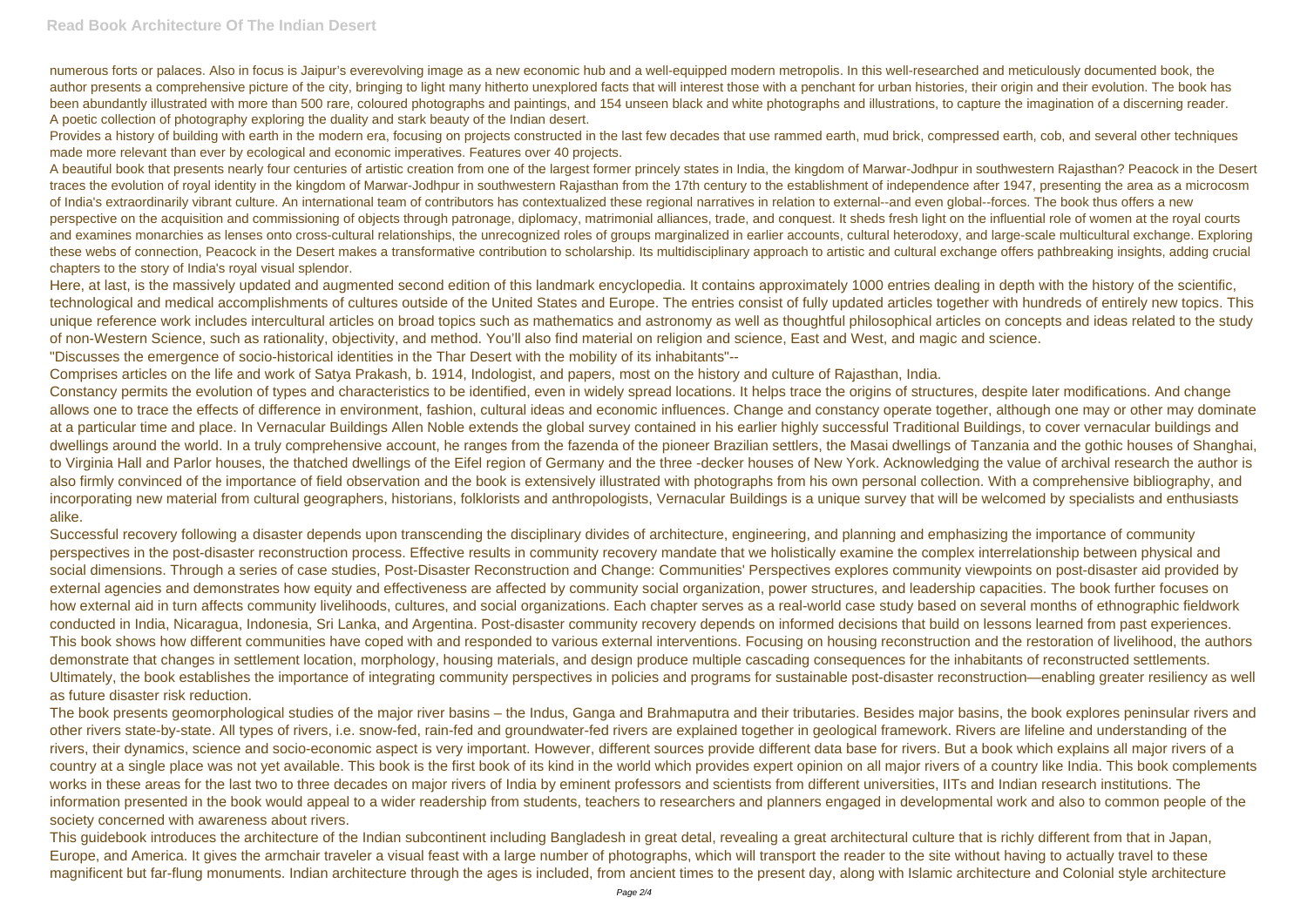numerous forts or palaces. Also in focus is Jaipur's everevolving image as a new economic hub and a well-equipped modern metropolis. In this well-researched and meticulously documented book, the author presents a comprehensive picture of the city, bringing to light many hitherto unexplored facts that will interest those with a penchant for urban histories, their origin and their evolution. The book has been abundantly illustrated with more than 500 rare, coloured photographs and paintings, and 154 unseen black and white photographs and illustrations, to capture the imagination of a discerning reader. A poetic collection of photography exploring the duality and stark beauty of the Indian desert.

Provides a history of building with earth in the modern era, focusing on projects constructed in the last few decades that use rammed earth, mud brick, compressed earth, cob, and several other techniques made more relevant than ever by ecological and economic imperatives. Features over 40 projects.

A beautiful book that presents nearly four centuries of artistic creation from one of the largest former princely states in India, the kingdom of Marwar-Jodhpur in southwestern Rajasthan? Peacock in the Desert traces the evolution of royal identity in the kingdom of Marwar-Jodhpur in southwestern Rajasthan from the 17th century to the establishment of independence after 1947, presenting the area as a microcosm of India's extraordinarily vibrant culture. An international team of contributors has contextualized these regional narratives in relation to external--and even global--forces. The book thus offers a new perspective on the acquisition and commissioning of objects through patronage, diplomacy, matrimonial alliances, trade, and conquest. It sheds fresh light on the influential role of women at the royal courts and examines monarchies as lenses onto cross-cultural relationships, the unrecognized roles of groups marginalized in earlier accounts, cultural heterodoxy, and large-scale multicultural exchange. Exploring these webs of connection, Peacock in the Desert makes a transformative contribution to scholarship. Its multidisciplinary approach to artistic and cultural exchange offers pathbreaking insights, adding crucial chapters to the story of India's royal visual splendor.

Here, at last, is the massively updated and augmented second edition of this landmark encyclopedia. It contains approximately 1000 entries dealing in depth with the history of the scientific, technological and medical accomplishments of cultures outside of the United States and Europe. The entries consist of fully updated articles together with hundreds of entirely new topics. This unique reference work includes intercultural articles on broad topics such as mathematics and astronomy as well as thoughtful philosophical articles on concepts and ideas related to the study of non-Western Science, such as rationality, objectivity, and method. You'll also find material on religion and science, East and West, and magic and science. "Discusses the emergence of socio-historical identities in the Thar Desert with the mobility of its inhabitants"--

Successful recovery following a disaster depends upon transcending the disciplinary divides of architecture, engineering, and planning and emphasizing the importance of community perspectives in the post-disaster reconstruction process. Effective results in community recovery mandate that we holistically examine the complex interrelationship between physical and social dimensions. Through a series of case studies, Post-Disaster Reconstruction and Change: Communities' Perspectives explores community viewpoints on post-disaster aid provided by external agencies and demonstrates how equity and effectiveness are affected by community social organization, power structures, and leadership capacities. The book further focuses on how external aid in turn affects community livelihoods, cultures, and social organizations. Each chapter serves as a real-world case study based on several months of ethnographic fieldwork conducted in India, Nicaragua, Indonesia, Sri Lanka, and Argentina. Post-disaster community recovery depends on informed decisions that build on lessons learned from past experiences. This book shows how different communities have coped with and responded to various external interventions. Focusing on housing reconstruction and the restoration of livelihood, the authors demonstrate that changes in settlement location, morphology, housing materials, and design produce multiple cascading consequences for the inhabitants of reconstructed settlements. Ultimately, the book establishes the importance of integrating community perspectives in policies and programs for sustainable post-disaster reconstruction—enabling greater resiliency as well as future disaster risk reduction.

Comprises articles on the life and work of Satya Prakash, b. 1914, Indologist, and papers, most on the history and culture of Rajasthan, India.

Constancy permits the evolution of types and characteristics to be identified, even in widely spread locations. It helps trace the origins of structures, despite later modifications. And change allows one to trace the effects of difference in environment, fashion, cultural ideas and economic influences. Change and constancy operate together, although one may or other may dominate at a particular time and place. In Vernacular Buildings Allen Noble extends the global survey contained in his earlier highly successful Traditional Buildings, to cover vernacular buildings and dwellings around the world. In a truly comprehensive account, he ranges from the fazenda of the pioneer Brazilian settlers, the Masai dwellings of Tanzania and the gothic houses of Shanghai, to Virginia Hall and Parlor houses, the thatched dwellings of the Eifel region of Germany and the three -decker houses of New York. Acknowledging the value of archival research the author is also firmly convinced of the importance of field observation and the book is extensively illustrated with photographs from his own personal collection. With a comprehensive bibliography, and incorporating new material from cultural geographers, historians, folklorists and anthropologists, Vernacular Buildings is a unique survey that will be welcomed by specialists and enthusiasts alike.

The book presents geomorphological studies of the major river basins – the Indus, Ganga and Brahmaputra and their tributaries. Besides major basins, the book explores peninsular rivers and other rivers state-by-state. All types of rivers, i.e. snow-fed, rain-fed and groundwater-fed rivers are explained together in geological framework. Rivers are lifeline and understanding of the rivers, their dynamics, science and socio-economic aspect is very important. However, different sources provide different data base for rivers. But a book which explains all major rivers of a country at a single place was not yet available. This book is the first book of its kind in the world which provides expert opinion on all major rivers of a country like India. This book complements works in these areas for the last two to three decades on major rivers of India by eminent professors and scientists from different universities, IITs and Indian research institutions. The information presented in the book would appeal to a wider readership from students, teachers to researchers and planners engaged in developmental work and also to common people of the society concerned with awareness about rivers.

This guidebook introduces the architecture of the Indian subcontinent including Bangladesh in great detal, revealing a great architectural culture that is richly different from that in Japan, Europe, and America. It gives the armchair traveler a visual feast with a large number of photographs, which will transport the reader to the site without having to actually travel to these magnificent but far-flung monuments. Indian architecture through the ages is included, from ancient times to the present day, along with Islamic architecture and Colonial style architecture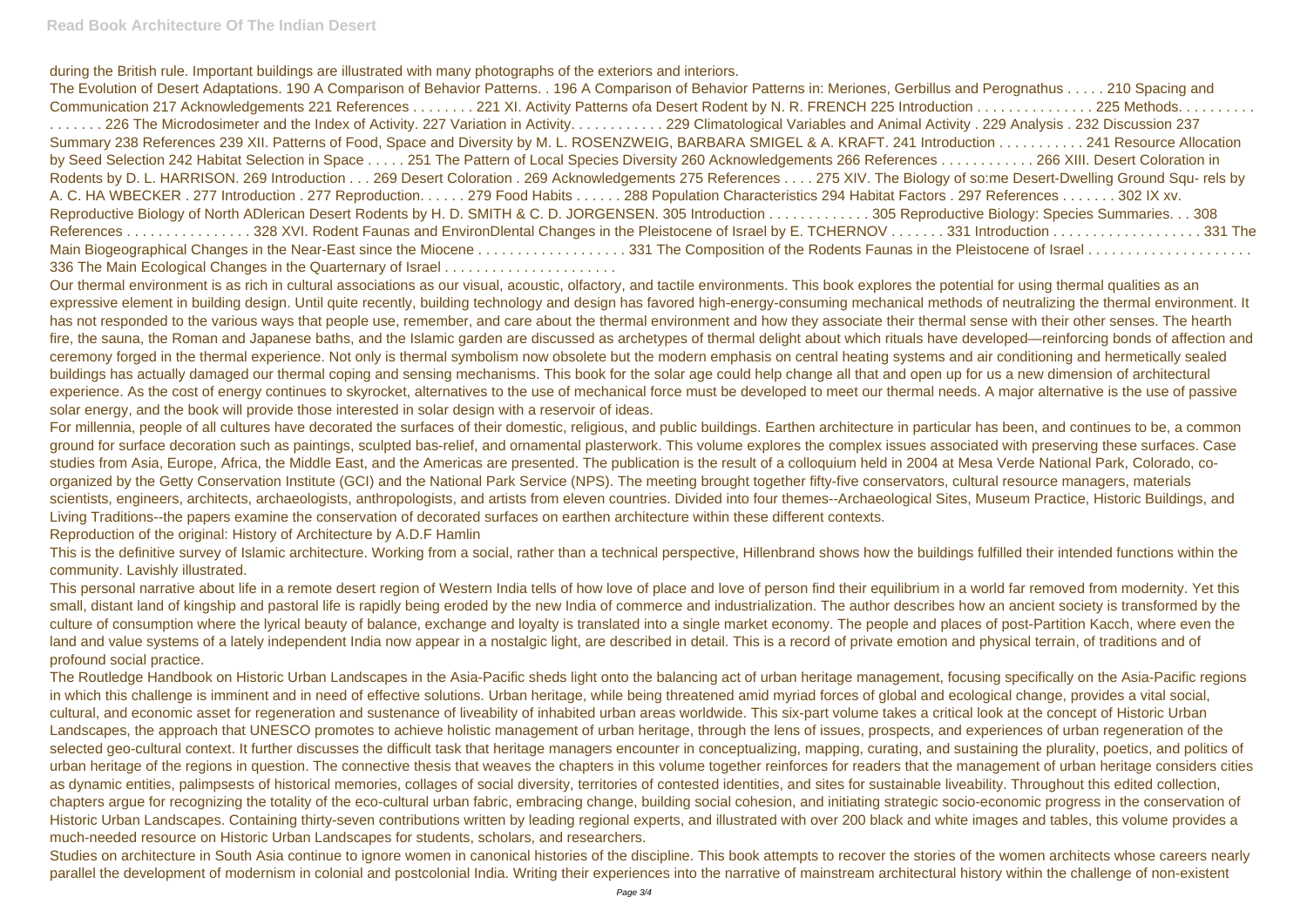during the British rule. Important buildings are illustrated with many photographs of the exteriors and interiors.

The Evolution of Desert Adaptations. 190 A Comparison of Behavior Patterns. . 196 A Comparison of Behavior Patterns in: Meriones, Gerbillus and F Communication 217 Acknowledgements 221 References . . . . . . . 221 XI. Activity Patterns ofa Desert Rodent by N. R. FRENCH 225 Introduction . . ....... 226 The Microdosimeter and the Index of Activity. 227 Variation in Activity........... 229 Climatological Variables and Animal Activity . 2 Summary 238 References 239 XII. Patterns of Food, Space and Diversity by M. L. ROSENZWEIG, BARBARA SMIGEL & A. KRAFT. 241 Introduction by Seed Selection 242 Habitat Selection in Space . . . . 251 The Pattern of Local Species Diversity 260 Acknowledgements 266 References . . . . . . Rodents by D. L. HARRISON. 269 Introduction . . . 269 Desert Coloration . 269 Acknowledgements 275 References . . . . 275 XIV. The Biology of so: A. C. HA WBECKER . 277 Introduction . 277 Reproduction. . . . . . 279 Food Habits . . . . . . 288 Population Characteristics 294 Habitat Factors . 297 Reproductive Biology of North ADlerican Desert Rodents by H. D. SMITH & C. D. JORGENSEN. 305 Introduction . . . . . . . . . . . . . 305 Reproductive References . . . . . . . . . . . . . . . . 328 XVI. Rodent Faunas and EnvironDlental Changes in the Pleistocene of Israel by E. TCHERNOV . . . . . . . 331 Introduction . . . . . . . . . . . . . . . . . . . 331 The Main Biogeographical Changes in the Near-East since the Miocene . . . . . . . . . . . . . . . . . 331 The Composition of the Rodents Faunas in the Pleist 336 The Main Ecological Changes in the Quarternary of Israel . . . . . . . . . . . . . . . . . . . . . .

Our thermal environment is as rich in cultural associations as our visual, acoustic, olfactory, and tactile environments. This book explores the potential for using thermal qualities as an expressive element in building design. Until quite recently, building technology and design has favored high-energy-consuming mechanical methods of neutralizing the thermal environment. It has not responded to the various ways that people use, remember, and care about the thermal environment and how they associate their thermal sense with their other senses. The hearth fire, the sauna, the Roman and Japanese baths, and the Islamic garden are discussed as archetypes of thermal delight about which rituals have developed—reinforcing bonds of affection and ceremony forged in the thermal experience. Not only is thermal symbolism now obsolete but the modern emphasis on central heating systems and air conditioning and hermetically sealed buildings has actually damaged our thermal coping and sensing mechanisms. This book for the solar age could help change all that and open up for us a new dimension of architectural experience. As the cost of energy continues to skyrocket, alternatives to the use of mechanical force must be developed to meet our thermal needs. A major alternative is the use of passive solar energy, and the book will provide those interested in solar design with a reservoir of ideas.

Studies on architecture in South Asia continue to ignore women in canonical histories of the discipline. This book attempts to recover the stories of the women architects whose careers nearly parallel the development of modernism in colonial and postcolonial India. Writing their experiences into the narrative of mainstream architectural history within the challenge of non-existent

For millennia, people of all cultures have decorated the surfaces of their domestic, religious, and public buildings. Earthen architecture in particular has been, and continues to be, a common ground for surface decoration such as paintings, sculpted bas-relief, and ornamental plasterwork. This volume explores the complex issues associated with preserving these surfaces. Case studies from Asia, Europe, Africa, the Middle East, and the Americas are presented. The publication is the result of a colloquium held in 2004 at Mesa Verde National Park, Colorado, coorganized by the Getty Conservation Institute (GCI) and the National Park Service (NPS). The meeting brought together fifty-five conservators, cultural resource managers, materials scientists, engineers, architects, archaeologists, anthropologists, and artists from eleven countries. Divided into four themes--Archaeological Sites, Museum Practice, Historic Buildings, and Living Traditions--the papers examine the conservation of decorated surfaces on earthen architecture within these different contexts.

Reproduction of the original: History of Architecture by A.D.F Hamlin

This is the definitive survey of Islamic architecture. Working from a social, rather than a technical perspective, Hillenbrand shows how the buildings fulfilled their intended functions within the community. Lavishly illustrated.

This personal narrative about life in a remote desert region of Western India tells of how love of place and love of person find their equilibrium in a world far removed from modernity. Yet this small, distant land of kingship and pastoral life is rapidly being eroded by the new India of commerce and industrialization. The author describes how an ancient society is transformed by the culture of consumption where the lyrical beauty of balance, exchange and loyalty is translated into a single market economy. The people and places of post-Partition Kacch, where even the land and value systems of a lately independent India now appear in a nostalgic light, are described in detail. This is a record of private emotion and physical terrain, of traditions and of profound social practice.

The Routledge Handbook on Historic Urban Landscapes in the Asia-Pacific sheds light onto the balancing act of urban heritage management, focusing specifically on the Asia-Pacific regions in which this challenge is imminent and in need of effective solutions. Urban heritage, while being threatened amid myriad forces of global and ecological change, provides a vital social, cultural, and economic asset for regeneration and sustenance of liveability of inhabited urban areas worldwide. This six-part volume takes a critical look at the concept of Historic Urban Landscapes, the approach that UNESCO promotes to achieve holistic management of urban heritage, through the lens of issues, prospects, and experiences of urban regeneration of the selected geo-cultural context. It further discusses the difficult task that heritage managers encounter in conceptualizing, mapping, curating, and sustaining the plurality, poetics, and politics of urban heritage of the regions in question. The connective thesis that weaves the chapters in this volume together reinforces for readers that the management of urban heritage considers cities as dynamic entities, palimpsests of historical memories, collages of social diversity, territories of contested identities, and sites for sustainable liveability. Throughout this edited collection, chapters argue for recognizing the totality of the eco-cultural urban fabric, embracing change, building social cohesion, and initiating strategic socio-economic progress in the conservation of Historic Urban Landscapes. Containing thirty-seven contributions written by leading regional experts, and illustrated with over 200 black and white images and tables, this volume provides a much-needed resource on Historic Urban Landscapes for students, scholars, and researchers.

| Perognathus 210 Spacing and            |
|----------------------------------------|
| . 225 Methods.                         |
| 229 Analysis . 232 Discussion 237      |
| n 241 Resource Allocation              |
| 266 XIII. Desert Coloration in         |
| me Desert-Dwelling Ground Squ- rels by |
| References 302 IX xv.                  |
| Biology: Species Summaries. 308        |
|                                        |
|                                        |